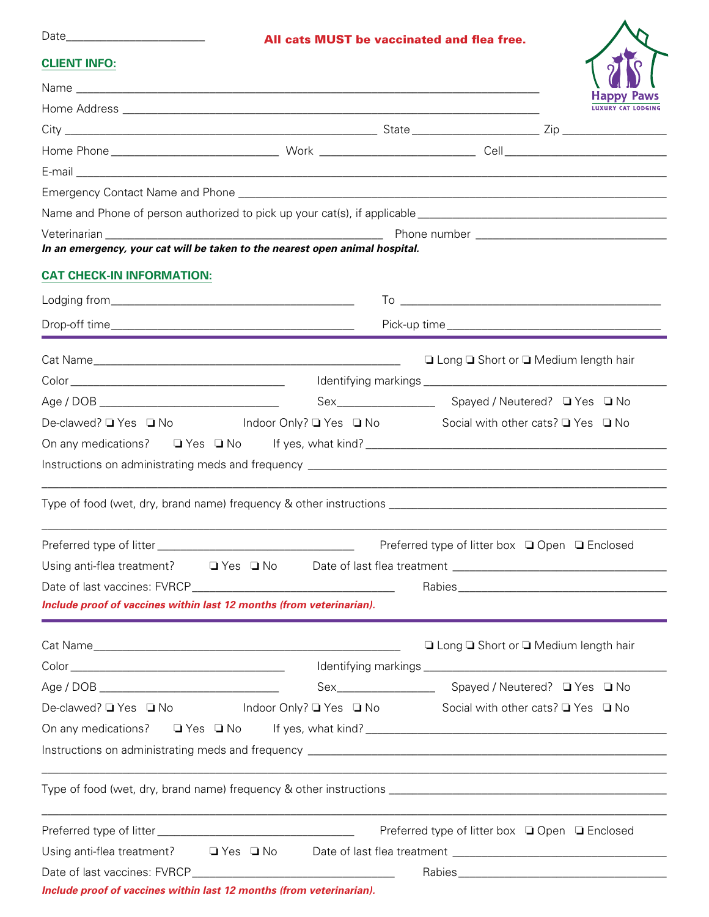| Da <sup>-</sup><br>מדריו |
|--------------------------|
|--------------------------|

## All cats MUST be vaccinated and flea free.

| <b>Happy</b> | <b>Paws</b> |
|--------------|-------------|

| <b>CLIENT INFO:</b> |  |  |
|---------------------|--|--|
|                     |  |  |

|                                                                                                                                                                                                                                          |  | \ <b>VII</b> IV \<br><b>Happy Paws</b>         |
|------------------------------------------------------------------------------------------------------------------------------------------------------------------------------------------------------------------------------------------|--|------------------------------------------------|
|                                                                                                                                                                                                                                          |  | <b>LUXURY CAT LODGING</b>                      |
|                                                                                                                                                                                                                                          |  |                                                |
|                                                                                                                                                                                                                                          |  |                                                |
|                                                                                                                                                                                                                                          |  |                                                |
|                                                                                                                                                                                                                                          |  |                                                |
|                                                                                                                                                                                                                                          |  |                                                |
|                                                                                                                                                                                                                                          |  |                                                |
| In an emergency, your cat will be taken to the nearest open animal hospital.                                                                                                                                                             |  |                                                |
| <b>CAT CHECK-IN INFORMATION:</b>                                                                                                                                                                                                         |  |                                                |
|                                                                                                                                                                                                                                          |  |                                                |
|                                                                                                                                                                                                                                          |  |                                                |
| <u> 1989 - Johann Stein, marwolaethau a bhann an t-Amhair an t-Amhair an t-Amhair an t-Amhair an t-Amhair an t-A</u>                                                                                                                     |  |                                                |
|                                                                                                                                                                                                                                          |  | □ Long □ Short or □ Medium length hair         |
|                                                                                                                                                                                                                                          |  |                                                |
|                                                                                                                                                                                                                                          |  |                                                |
| De-clawed? ■ Yes ■ No Moor Only? ■ Yes ■ No Social with other cats? ■ Yes ■ No                                                                                                                                                           |  |                                                |
|                                                                                                                                                                                                                                          |  |                                                |
|                                                                                                                                                                                                                                          |  |                                                |
|                                                                                                                                                                                                                                          |  | Preferred type of litter box □ Open □ Enclosed |
| Using anti-flea treatment?    Q Yes Q No Date of last flea treatment _______________________________                                                                                                                                     |  |                                                |
|                                                                                                                                                                                                                                          |  |                                                |
| Include proof of vaccines within last 12 months (from veterinarian).                                                                                                                                                                     |  |                                                |
|                                                                                                                                                                                                                                          |  | □ Long □ Short or □ Medium length hair         |
|                                                                                                                                                                                                                                          |  |                                                |
|                                                                                                                                                                                                                                          |  |                                                |
| De-clawed? ■ Yes ■ No Moor Only? ■ Yes ■ No Social with other cats? ■ Yes ■ No                                                                                                                                                           |  |                                                |
| On any medications?<br><u> a</u> Yes a No If yes, what kind? <u>Les manual and the manual contract of the set of the set of the set of the set of the set of the set of the set of the set of the set of the set of the set of the s</u> |  |                                                |
|                                                                                                                                                                                                                                          |  |                                                |
|                                                                                                                                                                                                                                          |  |                                                |
|                                                                                                                                                                                                                                          |  |                                                |
|                                                                                                                                                                                                                                          |  |                                                |
| Using anti-flea treatment? □ Yes □ No Date of last flea treatment _________________________________                                                                                                                                      |  |                                                |
|                                                                                                                                                                                                                                          |  |                                                |
| Include proof of vaccines within last 12 months (from veterinarian).                                                                                                                                                                     |  |                                                |